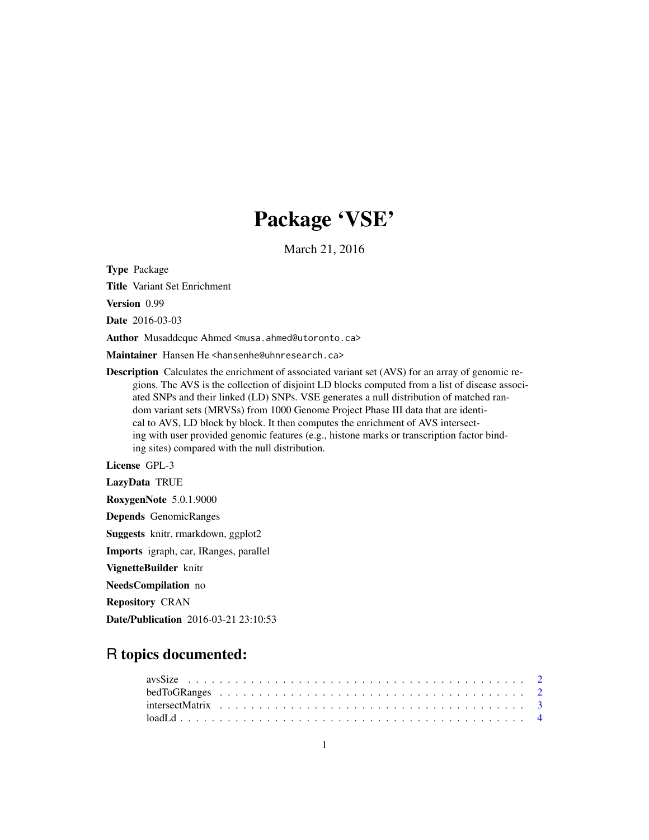# Package 'VSE'

March 21, 2016

Type Package

Title Variant Set Enrichment

Version 0.99

Date 2016-03-03

Author Musaddeque Ahmed <musa.ahmed@utoronto.ca>

Maintainer Hansen He <hansenhe@uhnresearch.ca>

Description Calculates the enrichment of associated variant set (AVS) for an array of genomic regions. The AVS is the collection of disjoint LD blocks computed from a list of disease associated SNPs and their linked (LD) SNPs. VSE generates a null distribution of matched random variant sets (MRVSs) from 1000 Genome Project Phase III data that are identical to AVS, LD block by block. It then computes the enrichment of AVS intersecting with user provided genomic features (e.g., histone marks or transcription factor binding sites) compared with the null distribution.

License GPL-3

LazyData TRUE

RoxygenNote 5.0.1.9000

Depends GenomicRanges

Suggests knitr, rmarkdown, ggplot2

Imports igraph, car, IRanges, parallel

VignetteBuilder knitr

NeedsCompilation no

Repository CRAN

Date/Publication 2016-03-21 23:10:53

# R topics documented: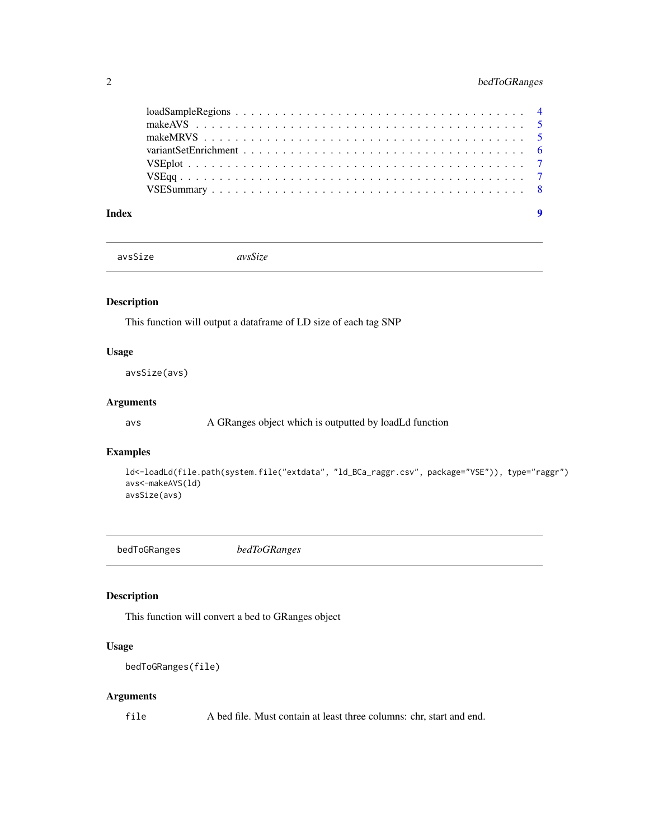<span id="page-1-0"></span>

avsSize *avsSize*

## Description

This function will output a dataframe of LD size of each tag SNP

#### Usage

avsSize(avs)

## Arguments

avs A GRanges object which is outputted by loadLd function

## Examples

```
ld<-loadLd(file.path(system.file("extdata", "ld_BCa_raggr.csv", package="VSE")), type="raggr")
avs<-makeAVS(ld)
avsSize(avs)
```
bedToGRanges *bedToGRanges*

#### Description

This function will convert a bed to GRanges object

#### Usage

```
bedToGRanges(file)
```
#### Arguments

file A bed file. Must contain at least three columns: chr, start and end.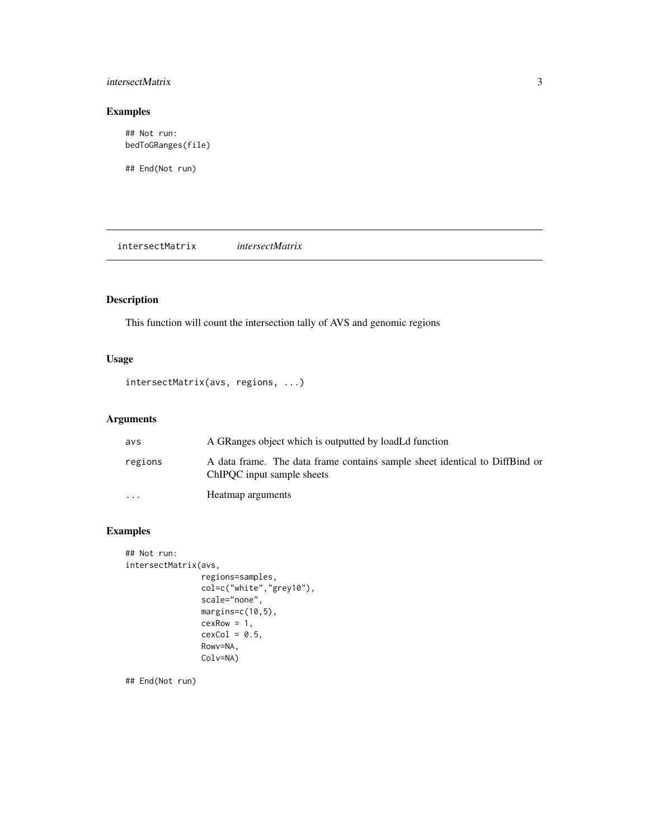# <span id="page-2-0"></span>intersectMatrix 3

# Examples

```
## Not run:
bedToGRanges(file)
```
## End(Not run)

intersectMatrix *intersectMatrix*

## Description

This function will count the intersection tally of AVS and genomic regions

## Usage

```
intersectMatrix(avs, regions, ...)
```
## Arguments

| avs       | A GRanges object which is outputted by loadLd function                                                    |
|-----------|-----------------------------------------------------------------------------------------------------------|
| regions   | A data frame. The data frame contains sample sheet identical to DiffBind or<br>ChIPOC input sample sheets |
| $\ddotsc$ | Heatmap arguments                                                                                         |

# Examples

```
## Not run:
intersectMatrix(avs,
                regions=samples,
                col=c("white","grey10"),
                scale="none",
                margins=c(10,5),
                cexRow = 1,
                cexCol = 0.5,
                Rowv=NA,
                Colv=NA)
```
## End(Not run)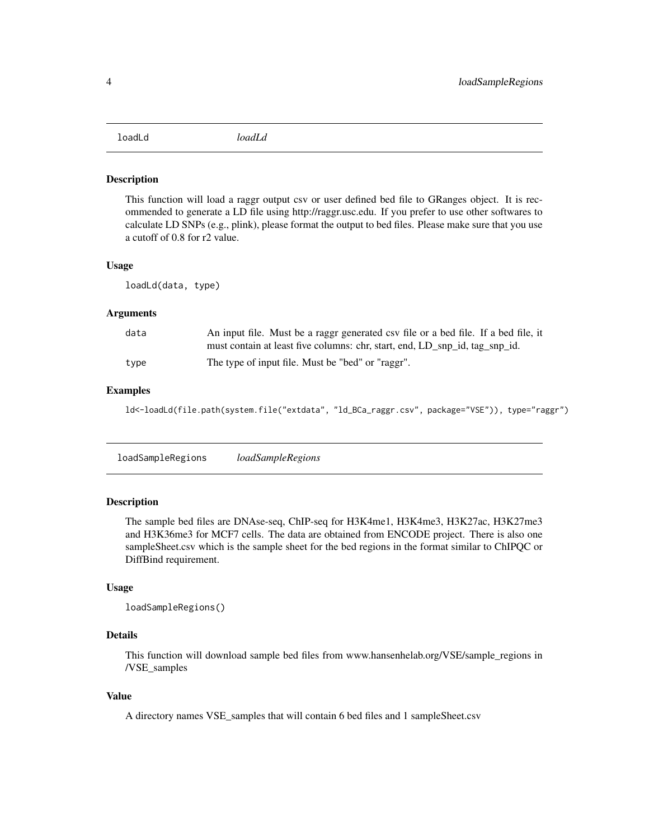<span id="page-3-0"></span>loadLd *loadLd*

#### Description

This function will load a raggr output csv or user defined bed file to GRanges object. It is recommended to generate a LD file using http://raggr.usc.edu. If you prefer to use other softwares to calculate LD SNPs (e.g., plink), please format the output to bed files. Please make sure that you use a cutoff of 0.8 for r2 value.

#### Usage

loadLd(data, type)

#### Arguments

| data | An input file. Must be a raggr generated csv file or a bed file. If a bed file, it |
|------|------------------------------------------------------------------------------------|
|      | must contain at least five columns: chr, start, end, LD_snp_id, tag_snp_id.        |
| tvpe | The type of input file. Must be "bed" or "raggr".                                  |

#### Examples

ld<-loadLd(file.path(system.file("extdata", "ld\_BCa\_raggr.csv", package="VSE")), type="raggr")

loadSampleRegions *loadSampleRegions*

#### Description

The sample bed files are DNAse-seq, ChIP-seq for H3K4me1, H3K4me3, H3K27ac, H3K27me3 and H3K36me3 for MCF7 cells. The data are obtained from ENCODE project. There is also one sampleSheet.csv which is the sample sheet for the bed regions in the format similar to ChIPQC or DiffBind requirement.

#### Usage

```
loadSampleRegions()
```
### Details

This function will download sample bed files from www.hansenhelab.org/VSE/sample\_regions in /VSE\_samples

#### Value

A directory names VSE\_samples that will contain 6 bed files and 1 sampleSheet.csv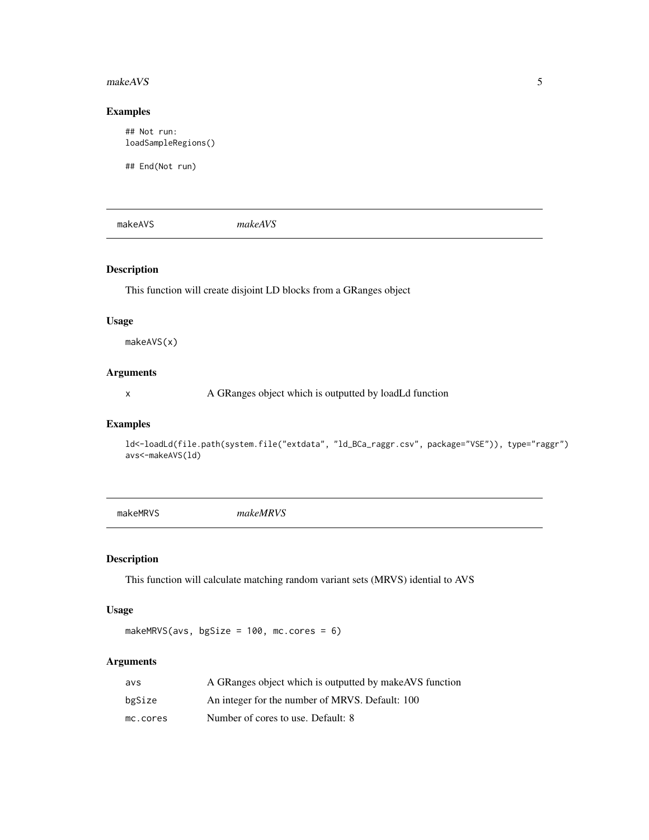#### <span id="page-4-0"></span>makeAVS 5

#### Examples

## Not run: loadSampleRegions()

## End(Not run)

makeAVS *makeAVS*

## Description

This function will create disjoint LD blocks from a GRanges object

#### Usage

makeAVS(x)

# Arguments

x A GRanges object which is outputted by loadLd function

## Examples

ld<-loadLd(file.path(system.file("extdata", "ld\_BCa\_raggr.csv", package="VSE")), type="raggr") avs<-makeAVS(ld)

makeMRVS *makeMRVS*

## Description

This function will calculate matching random variant sets (MRVS) idential to AVS

#### Usage

makeMRVS(avs, bgSize = 100, mc.cores = 6)

### Arguments

| avs      | A GRanges object which is outputted by make AVS function |
|----------|----------------------------------------------------------|
| bgSize   | An integer for the number of MRVS. Default: 100          |
| mc.cores | Number of cores to use. Default: 8                       |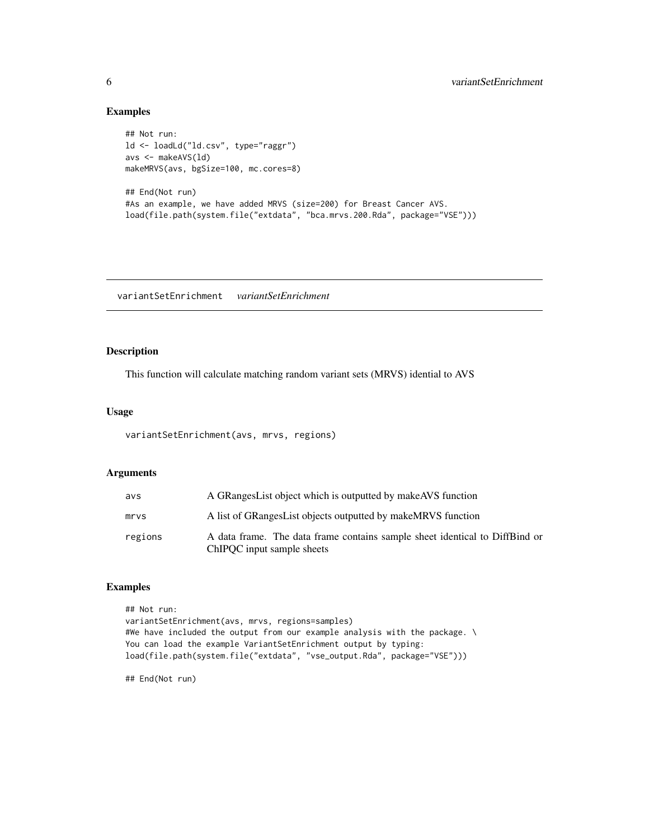#### Examples

```
## Not run:
ld <- loadLd("ld.csv", type="raggr")
avs <- makeAVS(ld)
makeMRVS(avs, bgSize=100, mc.cores=8)
## End(Not run)
#As an example, we have added MRVS (size=200) for Breast Cancer AVS.
load(file.path(system.file("extdata", "bca.mrvs.200.Rda", package="VSE")))
```
variantSetEnrichment *variantSetEnrichment*

### Description

This function will calculate matching random variant sets (MRVS) idential to AVS

#### Usage

variantSetEnrichment(avs, mrvs, regions)

# Arguments

| avs     | A GRanges List object which is outputted by make AVS function                                             |
|---------|-----------------------------------------------------------------------------------------------------------|
| mrvs    | A list of GRanges List objects outputted by make MRVS function                                            |
| regions | A data frame. The data frame contains sample sheet identical to DiffBind or<br>ChIPOC input sample sheets |

## Examples

```
## Not run:
variantSetEnrichment(avs, mrvs, regions=samples)
#We have included the output from our example analysis with the package. \
You can load the example VariantSetEnrichment output by typing:
load(file.path(system.file("extdata", "vse_output.Rda", package="VSE")))
```
## End(Not run)

<span id="page-5-0"></span>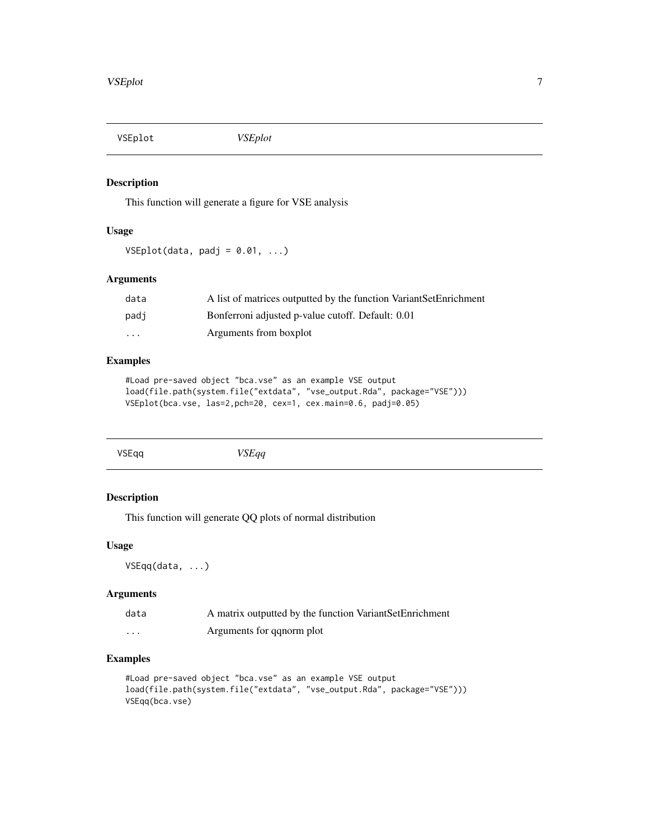<span id="page-6-0"></span>VSEplot *VSEplot*

## Description

This function will generate a figure for VSE analysis

## Usage

 $VSEplot(data, padj = 0.01, ...)$ 

#### Arguments

| data | A list of matrices outputted by the function VariantSetEnrichment |
|------|-------------------------------------------------------------------|
| padj | Bonferroni adjusted p-value cutoff. Default: 0.01                 |
| .    | Arguments from boxplot                                            |

## Examples

```
#Load pre-saved object "bca.vse" as an example VSE output
load(file.path(system.file("extdata", "vse_output.Rda", package="VSE")))
VSEplot(bca.vse, las=2,pch=20, cex=1, cex.main=0.6, padj=0.05)
```

| VSEqq | <i>VSEqq</i><br>$ -$ |  |
|-------|----------------------|--|
|       |                      |  |

# Description

This function will generate QQ plots of normal distribution

#### Usage

VSEqq(data, ...)

## Arguments

| data    | A matrix outputted by the function Variant Set Enrichment |
|---------|-----------------------------------------------------------|
| $\cdot$ | Arguments for ganorm plot                                 |

# Examples

```
#Load pre-saved object "bca.vse" as an example VSE output
load(file.path(system.file("extdata", "vse_output.Rda", package="VSE")))
VSEqq(bca.vse)
```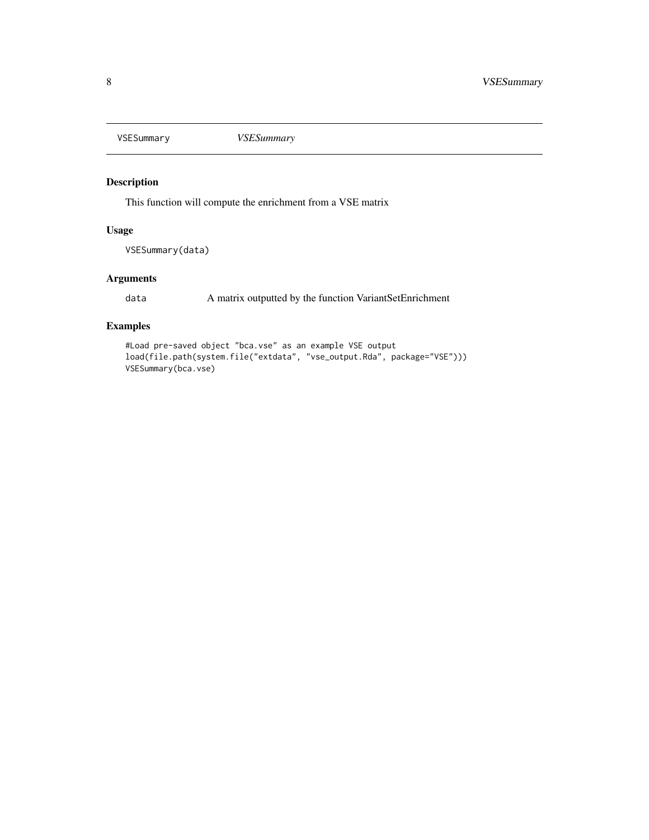<span id="page-7-0"></span>

## Description

This function will compute the enrichment from a VSE matrix

## Usage

VSESummary(data)

## Arguments

data A matrix outputted by the function VariantSetEnrichment

## Examples

```
#Load pre-saved object "bca.vse" as an example VSE output
load(file.path(system.file("extdata", "vse_output.Rda", package="VSE")))
VSESummary(bca.vse)
```